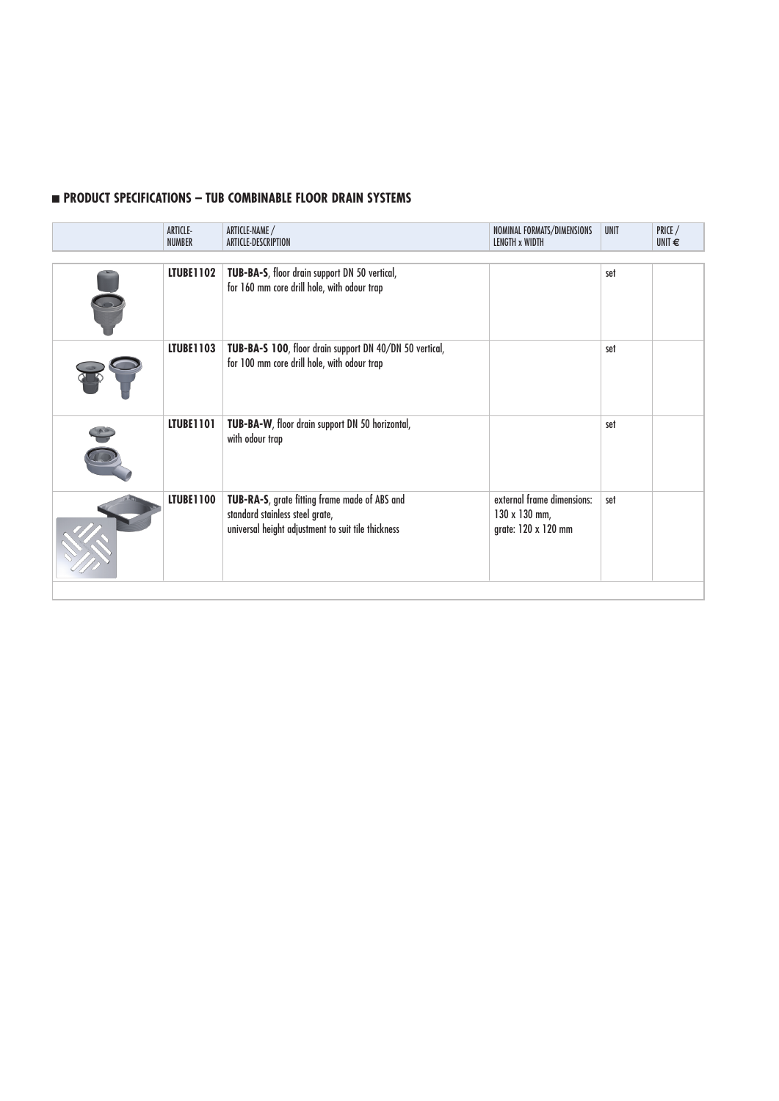## **n** PRODUCT SPECIFICATIONS – TUB COMBINABLE FLOOR DRAIN SYSTEMS

| ARTICLE-<br><b>NUMBER</b> | ARTICLE-NAME /<br>ARTICLE-DESCRIPTION                                                                                                  | NOMINAL FORMATS/DIMENSIONS<br>LENGTH x WIDTH                       | <b>UNIT</b> | PRICE /<br>UNIT $\epsilon$ |
|---------------------------|----------------------------------------------------------------------------------------------------------------------------------------|--------------------------------------------------------------------|-------------|----------------------------|
| <b>LTUBE1102</b>          | TUB-BA-S, floor drain support DN 50 vertical,<br>for 160 mm core drill hole, with odour trap                                           |                                                                    | set         |                            |
| <b>LTUBE1103</b>          | TUB-BA-S 100, floor drain support DN 40/DN 50 vertical,<br>for 100 mm core drill hole, with odour trap                                 |                                                                    | set         |                            |
| LTUBE1101                 | TUB-BA-W, floor drain support DN 50 horizontal,<br>with odour trap                                                                     |                                                                    | set         |                            |
| <b>LTUBE1100</b>          | TUB-RA-S, grate fitting frame made of ABS and<br>standard stainless steel grate,<br>universal height adjustment to suit tile thickness | external frame dimensions:<br>130 x 130 mm,<br>grate: 120 x 120 mm | set         |                            |